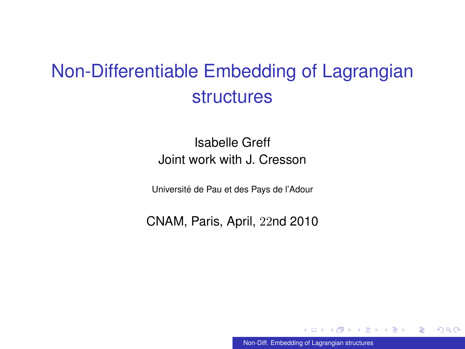# Non-Differentiable Embedding of Lagrangian structures

#### Isabelle Greff Joint work with J. Cresson

Universite de Pau et des Pays de l'Adour ´

CNAM, Paris, April, 22nd 2010

<span id="page-0-0"></span>[Non-Diff. Embedding of Lagrangian structures](#page-38-0)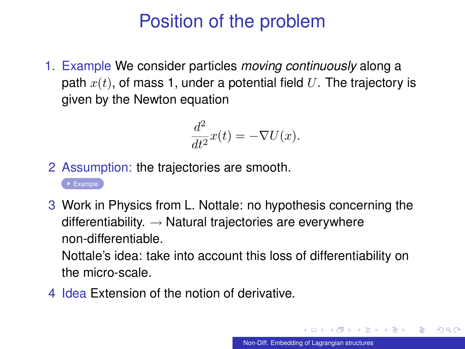# Position of the problem

<span id="page-1-0"></span>1. Example We consider particles *moving continuously* along a path  $x(t)$ , of mass 1, under a potential field U. The trajectory is given by the Newton equation

$$
\frac{d^2}{dt^2}x(t) = -\nabla U(x).
$$

- 2 Assumption: the trajectories are smooth.
	- $\rightarrow$  [Example](#page-33-0)
- 3 Work in Physics from L. Nottale: no hypothesis concerning the differentiability.  $\rightarrow$  Natural trajectories are everywhere non-differentiable. Nottale's idea: take into account this loss of differentiability on the micro-scale.
- 4 Idea Extension of the notion of derivative.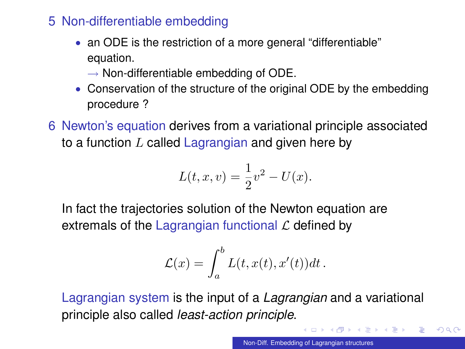- 5 Non-differentiable embedding
	- an ODE is the restriction of a more general "differentiable" equation.
		- $\rightarrow$  Non-differentiable embedding of ODE.
	- Conservation of the structure of the original ODE by the embedding procedure ?
- 6 Newton's equation derives from a variational principle associated to a function  $L$  called Lagrangian and given here by

$$
L(t, x, v) = \frac{1}{2}v^2 - U(x).
$$

In fact the trajectories solution of the Newton equation are extremals of the Lagrangian functional  $\mathcal L$  defined by

$$
\mathcal{L}(x) = \int_a^b L(t, x(t), x'(t)) dt.
$$

Lagrangian system is the input of a *Lagrangian* and a variational principle also called *least-action principle*.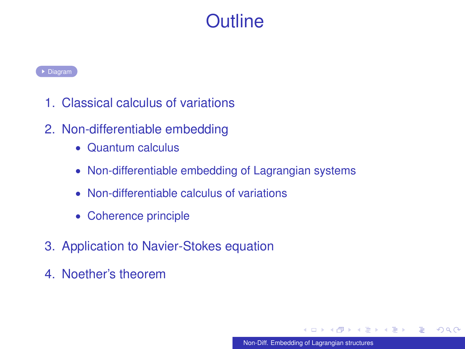# **Outline**

- <span id="page-3-0"></span>1. Classical calculus of variations
- 2. Non-differentiable embedding
	- Quantum calculus
	- Non-differentiable embedding of Lagrangian systems
	- Non-differentiable calculus of variations
	- Coherence principle
- 3. Application to Navier-Stokes equation
- 4. Noether's theorem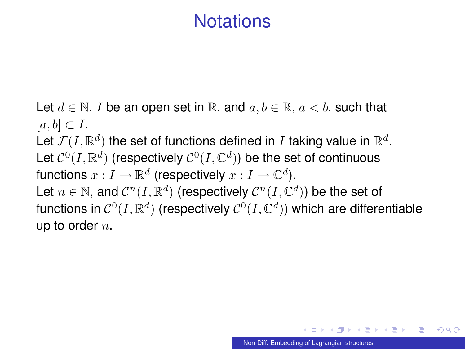# **Notations**

Let  $d \in \mathbb{N}$ , I be an open set in R, and  $a, b \in \mathbb{R}$ ,  $a < b$ , such that  $[a, b] \subset I$ . Let  $\mathcal{F}(I,\mathbb{R}^d)$  the set of functions defined in  $I$  taking value in  $\mathbb{R}^d.$ Let  $\mathcal{C}^0(I,\mathbb{R}^d)$  (respectively  $\mathcal{C}^0(I,\mathbb{C}^d)$ ) be the set of continuous functions  $x:I\to\mathbb{R}^d$  (respectively  $x:I\to\mathbb{C}^d).$ Let  $n \in \mathbb{N}$ , and  $\mathcal{C}^n(I,\mathbb{R}^d)$  (respectively  $\mathcal{C}^n(I,\mathbb{C}^d)$ ) be the set of functions in  $\mathcal{C}^0(I,\mathbb{R}^d)$  (respectively  $\mathcal{C}^0(I,\mathbb{C}^d)$ ) which are differentiable up to order  $n$ .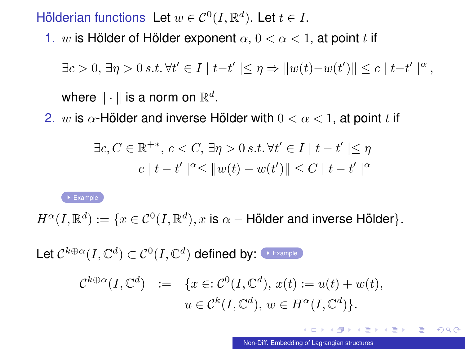<span id="page-5-0"></span>Hölderian functions Let  $w \in C^0(I, \mathbb{R}^d)$ . Let  $t \in I$ .

1. w is Hölder of Hölder exponent  $\alpha, 0 < \alpha < 1$ , at point t if

 $\exists c > 0, \exists \eta > 0 \, s.t. \, \forall t' \in I \mid t-t' \mid \leq \eta \Rightarrow ||w(t)-w(t')|| \leq c \mid t-t' \mid^{\alpha},$ 

where  $\|\cdot\|$  is a norm on  $\mathbb{R}^d.$ 

2. w is  $\alpha$ -Hölder and inverse Hölder with  $0 < \alpha < 1$ , at point t if

$$
\exists c, C \in \mathbb{R}^{+*}, c < C, \exists \eta > 0 \text{ s.t. } \forall t' \in I \mid t - t' \mid \leq \eta
$$
  

$$
c \mid t - t' \mid^{\alpha} \leq ||w(t) - w(t')|| \leq C \mid t - t' \mid^{\alpha}
$$

 $\overline{\phantom{a}}$  [Example](#page-32-0)

 $H^{\alpha}(I,\mathbb{R}^d):=\{x\in \mathcal{C}^0(I,\mathbb{R}^d), x \text{ is } \alpha-\textsf{H\"older} \text{ and inverse Hölder}\}.$ 

Let  $\mathcal{C}^{k\oplus\alpha}(I,\mathbb{C}^d)\subset \mathcal{C}^0(I,\mathbb{C}^d)$  defined by:  $\overline{\;\;\;}$  example

$$
\mathcal{C}^{k \oplus \alpha}(I, \mathbb{C}^d) := \{x \in \mathcal{C}^0(I, \mathbb{C}^d), x(t) := u(t) + w(t),
$$
  

$$
u \in \mathcal{C}^k(I, \mathbb{C}^d), w \in H^{\alpha}(I, \mathbb{C}^d)\}.
$$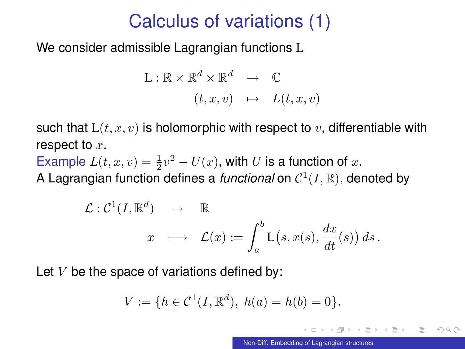# Calculus of variations (1)

We consider admissible Lagrangian functions L

$$
L: \mathbb{R} \times \mathbb{R}^d \times \mathbb{R}^d \longrightarrow \mathbb{C}
$$

$$
(t, x, v) \mapsto L(t, x, v)
$$

such that  $L(t, x, v)$  is holomorphic with respect to v, differentiable with respect to  $x$ .

Example  $L(t, x, v) = \frac{1}{2}v^2 - U(x)$ , with U is a function of x.

A Lagrangian function defines a *functional* on  $C^1(I,\mathbb{R})$ , denoted by

$$
\mathcal{L}: \mathcal{C}^1(I, \mathbb{R}^d) \rightarrow \mathbb{R}
$$
  

$$
x \longmapsto \mathcal{L}(x) := \int_a^b \mathcal{L}(s, x(s), \frac{dx}{dt}(s)) ds.
$$

Let  $V$  be the space of variations defined by:

$$
V := \{ h \in C^1(I, \mathbb{R}^d), \ h(a) = h(b) = 0 \}.
$$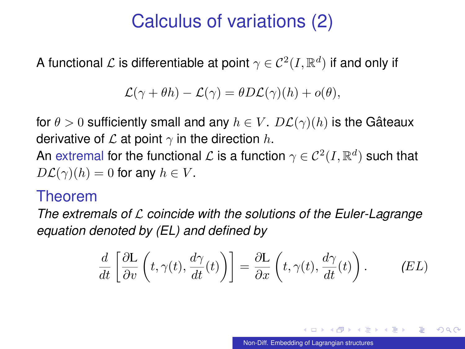# Calculus of variations (2)

A functional  ${\mathcal L}$  is differentiable at point  $\gamma \in {\cal C}^2(I, \mathbb{R}^d)$  if and only if

$$
\mathcal{L}(\gamma + \theta h) - \mathcal{L}(\gamma) = \theta D \mathcal{L}(\gamma)(h) + o(\theta),
$$

for  $\theta > 0$  sufficiently small and any  $h \in V$ .  $D\mathcal{L}(\gamma)(h)$  is the Gâteaux derivative of  $\mathcal L$  at point  $\gamma$  in the direction h.

An extremal for the functional  ${\cal L}$  is a function  $\gamma \in {\cal C}^2(I, \mathbb{R}^d)$  such that  $D\mathcal{L}(\gamma)(h) = 0$  for any  $h \in V$ .

#### Theorem

*The extremals of* L *coincide with the solutions of the Euler-Lagrange equation denoted by (EL) and defined by*

$$
\frac{d}{dt}\left[\frac{\partial L}{\partial v}\left(t,\gamma(t),\frac{d\gamma}{dt}(t)\right)\right] = \frac{\partial L}{\partial x}\left(t,\gamma(t),\frac{d\gamma}{dt}(t)\right). \tag{EL}
$$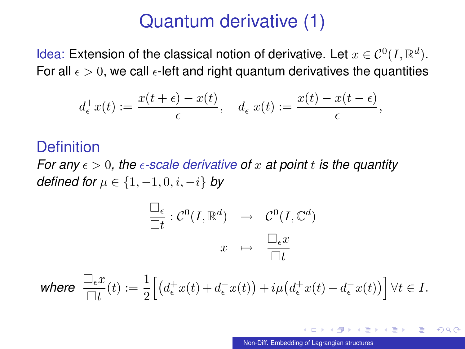## Quantum derivative (1)

Idea: Extension of the classical notion of derivative. Let  $x \in C^0(I, \mathbb{R}^d)$ . For all  $\epsilon > 0$ , we call  $\epsilon$ -left and right quantum derivatives the quantities

$$
d_{\epsilon}^+ x(t) := \frac{x(t+\epsilon) - x(t)}{\epsilon}, \quad d_{\epsilon}^- x(t) := \frac{x(t) - x(t-\epsilon)}{\epsilon},
$$

#### **Definition**

*For any*  $\epsilon > 0$ , the  $\epsilon$ -scale derivative of x at point t is the quantity *defined for*  $\mu \in \{1, -1, 0, i, -i\}$  *by* 

$$
\frac{\Box_{\epsilon}}{\Box t} : \mathcal{C}^0(I, \mathbb{R}^d) \rightarrow \mathcal{C}^0(I, \mathbb{C}^d)
$$

$$
x \mapsto \frac{\Box_{\epsilon} x}{\Box t}
$$

 $\text{where} \ \ \frac{\Box_\epsilon x}{\Box t}(t) := \frac{1}{2}\Big[\big(d^+_\epsilon x(t) + d^-_\epsilon x(t)\big) + i\mu\big(d^+_\epsilon x(t) - d^-_\epsilon x(t)\big)\Big] \, \forall t \in I.$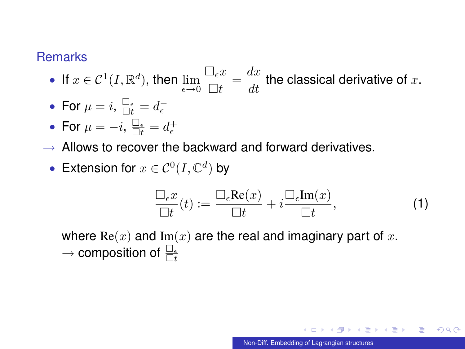#### **Remarks**

- If  $x \in \mathcal{C}^1(I,\mathbb{R}^d)$ , then  $\lim_{\epsilon \to 0}$  $\Box_{\epsilon} x$  $\frac{\Box_\epsilon x}{\Box t} = \frac{dx}{dt}$  the classical derivative of  $x.$
- For  $\mu = i$ ,  $\frac{\Box_{\epsilon}}{\Box t} = d_{\epsilon}^-$

• For 
$$
\mu = -i
$$
,  $\frac{\Box_{\epsilon}}{\Box t} = d_{\epsilon}^+$ 

- $\rightarrow$  Allows to recover the backward and forward derivatives.
	- Extension for  $x \in C^0(I, \mathbb{C}^d)$  by

<span id="page-9-0"></span>
$$
\frac{\Box_{\epsilon} x}{\Box t}(t) := \frac{\Box_{\epsilon} \text{Re}(x)}{\Box t} + i \frac{\Box_{\epsilon} \text{Im}(x)}{\Box t},\tag{1}
$$

where  $\text{Re}(x)$  and  $\text{Im}(x)$  are the real and imaginary part of x.  $\rightarrow$  composition of  $\frac{\Box_{\epsilon}}{\Box_{t}}$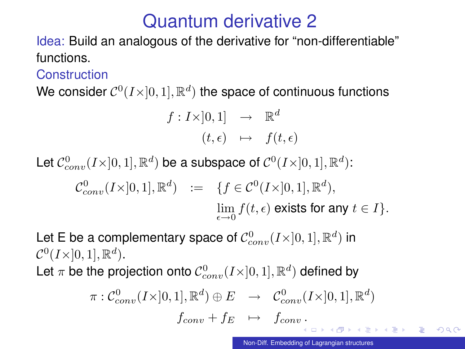# Quantum derivative 2

Idea: Build an analogous of the derivative for "non-differentiable" functions.

**Construction** 

We consider  $\mathcal{C}^0(I \times ]0,1], \mathbb{R}^d)$  the space of continuous functions

$$
f: I \times ]0,1] \rightarrow \mathbb{R}^d
$$

$$
(t,\epsilon) \rightarrow f(t,\epsilon)
$$

Let  $\mathcal{C}^0_{conv}(I \times ]0,1], \mathbb{R}^d)$  be a subspace of  $\mathcal{C}^0(I \times ]0,1], \mathbb{R}^d)$ :

$$
\mathcal{C}^0_{conv}(I\times]0,1],\mathbb{R}^d) \quad := \quad \{f\in \mathcal{C}^0(I\times]0,1],\mathbb{R}^d),\\ \lim_{\epsilon\to 0} f(t,\epsilon) \text{ exists for any } t\in I\}.
$$

Let E be a complementary space of  $\mathcal{C}^0_{conv}(I \times ]0,1], \mathbb{R}^d)$  in  $\mathcal{C}^0(I\times]0,1], \mathbb{R}^d).$ 

Let  $\pi$  be the projection onto  $\mathcal{C}^0_{conv}(I \times ]0,1], \mathbb{R}^d)$  defined by

$$
\pi: \mathcal{C}^0_{conv}(I \times ]0,1], \mathbb{R}^d) \oplus E \rightarrow \mathcal{C}^0_{conv}(I \times ]0,1], \mathbb{R}^d)
$$

$$
f_{conv} + f_E \rightarrow f_{conv}.
$$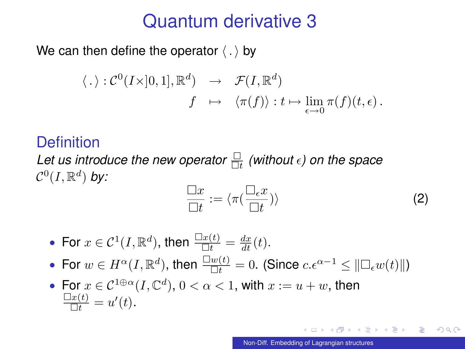### Quantum derivative 3

We can then define the operator  $\langle . \rangle$  by

$$
\langle . \rangle : C^0(I \times ]0,1], \mathbb{R}^d) \rightarrow \mathcal{F}(I, \mathbb{R}^d)
$$
  

$$
f \mapsto \langle \pi(f) \rangle : t \mapsto \lim_{\epsilon \to 0} \pi(f)(t, \epsilon).
$$

#### **Definition**

*Let us introduce the new operator* t *(without ) on the space*  $\mathcal{C}^0(I,\mathbb{R}^d)$  by:

<span id="page-11-0"></span>
$$
\frac{\Box x}{\Box t} := \langle \pi(\frac{\Box_{\epsilon} x}{\Box t}) \rangle \tag{2}
$$

- For  $x \in \mathcal{C}^1(I,\mathbb{R}^d)$ , then  $\frac{\Box x(t)}{\Box t} = \frac{dx}{dt}(t)$ .
- For  $w \in H^{\alpha}(I, \mathbb{R}^d)$ , then  $\frac{\Box w(t)}{\Box t} = 0$ . (Since  $c \cdot e^{\alpha 1} \leq ||\Box_{\epsilon} w(t)||$ )
- For  $x \in C^{1 \oplus \alpha}(I, \mathbb{C}^d)$ ,  $0 < \alpha < 1$ , with  $x := u + w$ , then  $\frac{\Box x(t)}{\Box t} = u'(t).$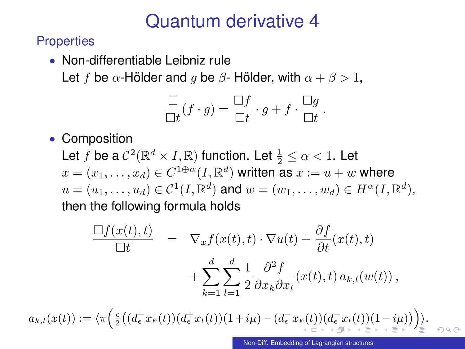# Quantum derivative 4

**Properties** 

• Non-differentiable Leibniz rule Let f be  $\alpha$ -Hölder and q be  $\beta$ -Hölder, with  $\alpha + \beta > 1$ ,

$$
\frac{\Box}{\Box t}(f \cdot g) = \frac{\Box f}{\Box t} \cdot g + f \cdot \frac{\Box g}{\Box t}.
$$

• Composition

Let  $f$  be a  $\mathcal{C}^2(\mathbb{R}^d\times I,\mathbb{R})$  function. Let  $\frac{1}{2}\leq \alpha < 1$ . Let  $x=(x_1,\ldots,x_d)\in C^{1\oplus \alpha}(I,\mathbb{R}^d)$  written as  $x:=u+w$  where  $u=(u_1,\ldots,u_d)\in\mathcal{C}^1(I,\mathbb{R}^d)$  and  $w=(w_1,\ldots,w_d)\in H^{\alpha}(I,\mathbb{R}^d),$ then the following formula holds

<span id="page-12-0"></span>
$$
\frac{\Box f(x(t),t)}{\Box t} = \nabla_x f(x(t),t) \cdot \nabla u(t) + \frac{\partial f}{\partial t}(x(t),t) + \sum_{k=1}^d \sum_{l=1}^d \frac{1}{2} \frac{\partial^2 f}{\partial x_k \partial x_l}(x(t),t) a_{k,l}(w(t)),
$$

 $a_{k,l}(x(t)) := \langle \pi \Big( \tfrac{\epsilon}{2} \big( (d_\epsilon^+ x_k(t))(d_\epsilon^+ x_l(t))(1+i\mu) - (d_\epsilon^- x_k(t))(d_\epsilon^- x_l(t))(1-i\mu) \big) \Big) \rangle.$  $a_{k,l}(x(t)) := \langle \pi \Big( \tfrac{\epsilon}{2} \big( (d_\epsilon^+ x_k(t))(d_\epsilon^+ x_l(t))(1+i\mu) - (d_\epsilon^- x_k(t))(d_\epsilon^- x_l(t))(1-i\mu) \big) \Big) \rangle.$  $a_{k,l}(x(t)) := \langle \pi \Big( \tfrac{\epsilon}{2} \big( (d_\epsilon^+ x_k(t))(d_\epsilon^+ x_l(t))(1+i\mu) - (d_\epsilon^- x_k(t))(d_\epsilon^- x_l(t))(1-i\mu) \big) \Big) \rangle.$  $a_{k,l}(x(t)) := \langle \pi \Big( \tfrac{\epsilon}{2} \big( (d_\epsilon^+ x_k(t))(d_\epsilon^+ x_l(t))(1+i\mu) - (d_\epsilon^- x_k(t))(d_\epsilon^- x_l(t))(1-i\mu) \big) \Big) \rangle.$  $a_{k,l}(x(t)) := \langle \pi \Big( \tfrac{\epsilon}{2} \big( (d_\epsilon^+ x_k(t))(d_\epsilon^+ x_l(t))(1+i\mu) - (d_\epsilon^- x_k(t))(d_\epsilon^- x_l(t))(1-i\mu) \big) \Big) \rangle.$  $a_{k,l}(x(t)) := \langle \pi \Big( \tfrac{\epsilon}{2} \big( (d_\epsilon^+ x_k(t))(d_\epsilon^+ x_l(t))(1+i\mu) - (d_\epsilon^- x_k(t))(d_\epsilon^- x_l(t))(1-i\mu) \big) \Big) \rangle.$  $a_{k,l}(x(t)) := \langle \pi \Big( \tfrac{\epsilon}{2} \big( (d_\epsilon^+ x_k(t))(d_\epsilon^+ x_l(t))(1+i\mu) - (d_\epsilon^- x_k(t))(d_\epsilon^- x_l(t))(1-i\mu) \big) \Big) \rangle.$  $a_{k,l}(x(t)) := \langle \pi \Big( \tfrac{\epsilon}{2} \big( (d_\epsilon^+ x_k(t))(d_\epsilon^+ x_l(t))(1+i\mu) - (d_\epsilon^- x_k(t))(d_\epsilon^- x_l(t))(1-i\mu) \big) \Big) \rangle.$  $a_{k,l}(x(t)) := \langle \pi \Big( \tfrac{\epsilon}{2} \big( (d_\epsilon^+ x_k(t))(d_\epsilon^+ x_l(t))(1+i\mu) - (d_\epsilon^- x_k(t))(d_\epsilon^- x_l(t))(1-i\mu) \big) \Big) \rangle.$  $a_{k,l}(x(t)) := \langle \pi \Big( \tfrac{\epsilon}{2} \big( (d_\epsilon^+ x_k(t))(d_\epsilon^+ x_l(t))(1+i\mu) - (d_\epsilon^- x_k(t))(d_\epsilon^- x_l(t))(1-i\mu) \big) \Big) \rangle.$  $a_{k,l}(x(t)) := \langle \pi \Big( \tfrac{\epsilon}{2} \big( (d_\epsilon^+ x_k(t))(d_\epsilon^+ x_l(t))(1+i\mu) - (d_\epsilon^- x_k(t))(d_\epsilon^- x_l(t))(1-i\mu) \big) \Big) \rangle.$  $a_{k,l}(x(t)) := \langle \pi \Big( \tfrac{\epsilon}{2} \big( (d_\epsilon^+ x_k(t))(d_\epsilon^+ x_l(t))(1+i\mu) - (d_\epsilon^- x_k(t))(d_\epsilon^- x_l(t))(1-i\mu) \big) \Big) \rangle.$  $a_{k,l}(x(t)) := \langle \pi \Big( \tfrac{\epsilon}{2} \big( (d_\epsilon^+ x_k(t))(d_\epsilon^+ x_l(t))(1+i\mu) - (d_\epsilon^- x_k(t))(d_\epsilon^- x_l(t))(1-i\mu) \big) \Big) \rangle.$  $a_{k,l}(x(t)) := \langle \pi \Big( \tfrac{\epsilon}{2} \big( (d_\epsilon^+ x_k(t))(d_\epsilon^+ x_l(t))(1+i\mu) - (d_\epsilon^- x_k(t))(d_\epsilon^- x_l(t))(1-i\mu) \big) \Big) \rangle.$  $a_{k,l}(x(t)) := \langle \pi \Big( \tfrac{\epsilon}{2} \big( (d_\epsilon^+ x_k(t))(d_\epsilon^+ x_l(t))(1+i\mu) - (d_\epsilon^- x_k(t))(d_\epsilon^- x_l(t))(1-i\mu) \big) \Big) \rangle.$  $a_{k,l}(x(t)) := \langle \pi \Big( \tfrac{\epsilon}{2} \big( (d_\epsilon^+ x_k(t))(d_\epsilon^+ x_l(t))(1+i\mu) - (d_\epsilon^- x_k(t))(d_\epsilon^- x_l(t))(1-i\mu) \big) \Big) \rangle.$  $a_{k,l}(x(t)) := \langle \pi \Big( \tfrac{\epsilon}{2} \big( (d_\epsilon^+ x_k(t))(d_\epsilon^+ x_l(t))(1+i\mu) - (d_\epsilon^- x_k(t))(d_\epsilon^- x_l(t))(1-i\mu) \big) \Big) \rangle.$  $a_{k,l}(x(t)) := \langle \pi \Big( \tfrac{\epsilon}{2} \big( (d_\epsilon^+ x_k(t))(d_\epsilon^+ x_l(t))(1+i\mu) - (d_\epsilon^- x_k(t))(d_\epsilon^- x_l(t))(1-i\mu) \big) \Big) \rangle.$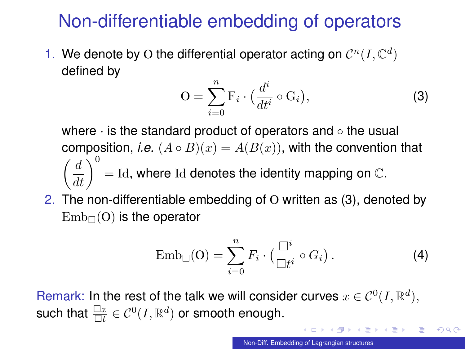# Non-differentiable embedding of operators

1. We denote by O the differential operator acting on  $\mathcal{C}^n(I,\mathbb{C}^d)$ defined by

<span id="page-13-1"></span>
$$
O = \sum_{i=0}^{n} F_i \cdot \left(\frac{d^i}{dt^i} \circ G_i\right),\tag{3}
$$

where · is the standard product of operators and ◦ the usual composition, *i.e.*  $(A \circ B)(x) = A(B(x))$ , with the convention that  $\left(\frac{d}{dt}\right)^0 =$  Id, where Id denotes the identity mapping on  $\mathbb{C}$ .

2. The non-differentiable embedding of O written as [\(3\)](#page-13-1), denoted by  $Emb<sub>\square</sub>(O)$  is the operator

<span id="page-13-0"></span>
$$
\mathrm{Emb}_{\square}(\mathbf{O}) = \sum_{i=0}^{n} F_i \cdot \left( \frac{\square^i}{\square t^i} \circ G_i \right). \tag{4}
$$

Remark: In the rest of the talk we will consider curves  $x \in C^0(I, \mathbb{R}^d)$ , such that  $\frac{\Box x}{\Box t} \in \mathcal{C}^0(I,\mathbb{R}^d)$  or smooth enough.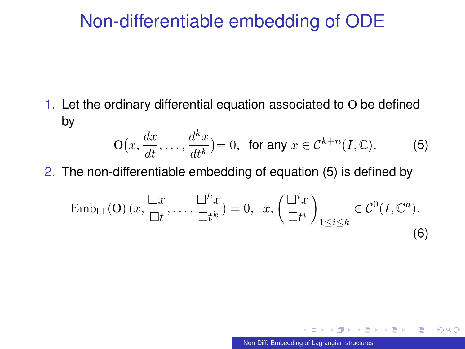#### Non-differentiable embedding of ODE

1. Let the ordinary differential equation associated to O be defined by

<span id="page-14-0"></span>
$$
O\big(x, \frac{dx}{dt}, \dots, \frac{d^k x}{dt^k}\big) = 0, \text{ for any } x \in \mathcal{C}^{k+n}(I, \mathbb{C}).\tag{5}
$$

2. The non-differentiable embedding of equation [\(5\)](#page-14-0) is defined by

$$
\operatorname{Emb}_{\Box}(\mathbf{O})\left(x,\frac{\Box x}{\Box t},\ldots,\frac{\Box^k x}{\Box t^k}\right) = 0, \quad x, \left(\frac{\Box^i x}{\Box t^i}\right)_{1 \le i \le k} \in \mathcal{C}^0(I,\mathbb{C}^d). \tag{6}
$$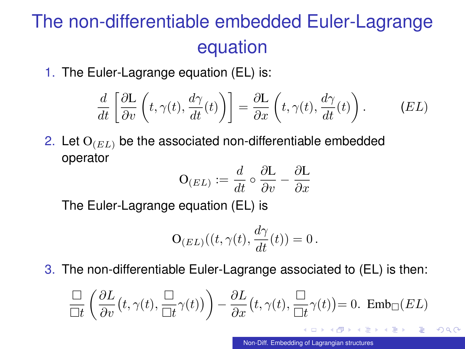# The non-differentiable embedded Euler-Lagrange equation

1. The Euler-Lagrange equation (EL) is:

$$
\frac{d}{dt}\left[\frac{\partial L}{\partial v}\left(t,\gamma(t),\frac{d\gamma}{dt}(t)\right)\right] = \frac{\partial L}{\partial x}\left(t,\gamma(t),\frac{d\gamma}{dt}(t)\right). \qquad (EL)
$$

2. Let  $O_{(EL)}$  be the associated non-differentiable embedded operator

$$
\mathbf{O}_{(EL)} := \frac{d}{dt} \circ \frac{\partial \mathbf{L}}{\partial v} - \frac{\partial \mathbf{L}}{\partial x}
$$

The Euler-Lagrange equation (EL) is

$$
\mathbf{O}_{(EL)}((t,\gamma(t),\frac{d\gamma}{dt}(t))=0.
$$

3. The non-differentiable Euler-Lagrange associated to (EL) is then:

$$
\frac{\Box}{\Box t} \left( \frac{\partial L}{\partial v} \left( t, \gamma(t), \frac{\Box}{\Box t} \gamma(t) \right) \right) - \frac{\partial L}{\partial x} \left( t, \gamma(t), \frac{\Box}{\Box t} \gamma(t) \right) = 0. \text{ Emb}_{\Box} (EL)
$$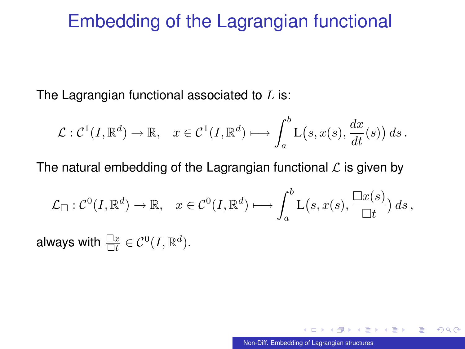### Embedding of the Lagrangian functional

The Lagrangian functional associated to  $L$  is:

$$
\mathcal{L}: \mathcal{C}^1(I,\mathbb{R}^d) \to \mathbb{R}, \quad x \in \mathcal{C}^1(I,\mathbb{R}^d) \longmapsto \int_a^b \mathcal{L}(s,x(s),\frac{dx}{dt}(s)) ds.
$$

The natural embedding of the Lagrangian functional  $\mathcal L$  is given by

$$
\mathcal{L}_{\Box}: \mathcal{C}^0(I, \mathbb{R}^d) \to \mathbb{R}, \quad x \in \mathcal{C}^0(I, \mathbb{R}^d) \longmapsto \int_a^b \mathcal{L}(s, x(s), \frac{\Box x(s)}{\Box t}) ds,
$$

always with  $\frac{\Box x}{\Box t} \in \mathcal{C}^0(I,\mathbb{R}^d)$ .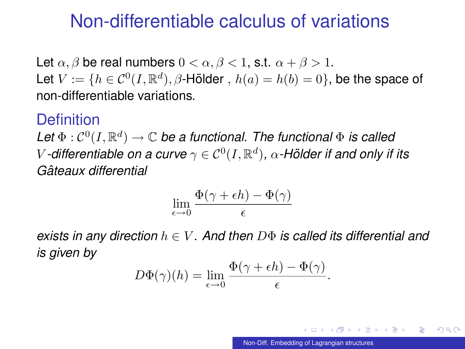#### Non-differentiable calculus of variations

Let  $\alpha$ ,  $\beta$  be real numbers  $0 < \alpha$ ,  $\beta < 1$ , s.t.  $\alpha + \beta > 1$ . Let  $V := \{h \in \mathcal{C}^0(I,\mathbb{R}^d), \beta\text{-H\"older }, h(a) = h(b) = 0\}$ , be the space of non-differentiable variations.

#### **Definition**

Let  $\Phi : \mathcal{C}^0(I, \mathbb{R}^d) \to \mathbb{C}$  be a functional. The functional  $\Phi$  is called  $V$  -differentiable on a curve  $\gamma \in \mathcal{C}^0(I,\mathbb{R}^d)$ ,  $\alpha$  -Hölder if and only if its *Gateaux differential ˆ*

$$
\lim_{\epsilon \to 0} \frac{\Phi(\gamma + \epsilon h) - \Phi(\gamma)}{\epsilon}
$$

*exists in any direction* h ∈ V *. And then* DΦ *is called its differential and is given by*

$$
D\Phi(\gamma)(h) = \lim_{\epsilon \to 0} \frac{\Phi(\gamma + \epsilon h) - \Phi(\gamma)}{\epsilon}.
$$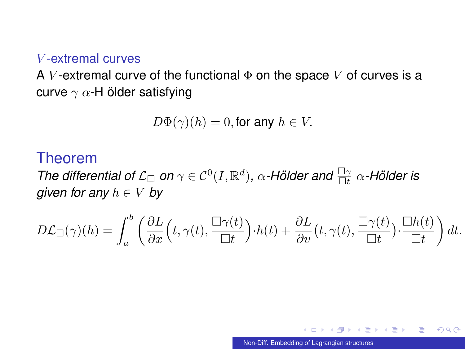#### V -extremal curves

A V-extremal curve of the functional  $\Phi$  on the space V of curves is a curve  $\gamma$   $\alpha$ -H ölder satisfying

$$
D\Phi(\gamma)(h) = 0, \text{for any } h \in V.
$$

#### Theorem

*The differential of L*<sub> $\Box$ </sub> on  $\gamma \in C^0(I, \mathbb{R}^d)$ ,  $\alpha$ -Hölder and  $\frac{\Box \gamma}{\Box t}$   $\alpha$ -Hölder is *given for any*  $h \in V$  *by* 

$$
D\mathcal{L}_{\Box}(\gamma)(h) = \int_a^b \left( \frac{\partial L}{\partial x} \left( t, \gamma(t), \frac{\Box \gamma(t)}{\Box t} \right) \cdot h(t) + \frac{\partial L}{\partial v} \left( t, \gamma(t), \frac{\Box \gamma(t)}{\Box t} \right) \cdot \frac{\Box h(t)}{\Box t} \right) dt.
$$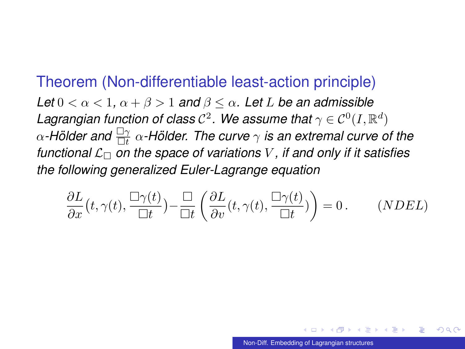#### Theorem (Non-differentiable least-action principle)

*Let*  $0 < \alpha < 1$ ,  $\alpha + \beta > 1$  *and*  $\beta < \alpha$ . Let L be an admissible Lagrangian function of class  $\mathcal{C}^2$ . We assume that  $\gamma \in \mathcal{C}^0(I,\mathbb{R}^d)$  $\alpha$ -Hölder and  $\frac{\Box \gamma}{\Box t}$   $\alpha$ -Hölder. The curve  $\gamma$  is an extremal curve of the *functional*  $\mathcal{L}_{\Box}$  *on the space of variations* V, *if and only if it satisfies the following generalized Euler-Lagrange equation*

$$
\frac{\partial L}{\partial x}(t,\gamma(t),\frac{\Box\gamma(t)}{\Box t}) - \frac{\Box}{\Box t}\left(\frac{\partial L}{\partial v}(t,\gamma(t),\frac{\Box\gamma(t)}{\Box t})\right) = 0. \qquad (NDEL)
$$

つひい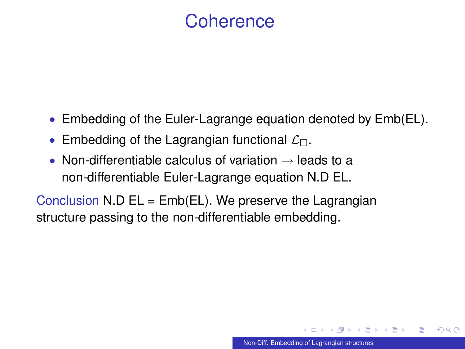### **Coherence**

- Embedding of the Euler-Lagrange equation denoted by Emb(EL).
- Embedding of the Lagrangian functional  $\mathcal{L}_{\Box}$ .
- Non-differentiable calculus of variation  $\rightarrow$  leads to a non-differentiable Euler-Lagrange equation N.D EL.

Conclusion N.D  $EL = Emb(EL)$ . We preserve the Lagrangian structure passing to the non-differentiable embedding.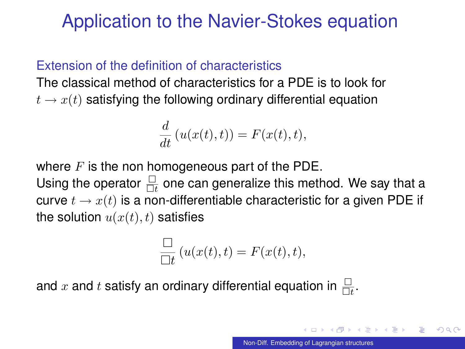## Application to the Navier-Stokes equation

#### Extension of the definition of characteristics

The classical method of characteristics for a PDE is to look for  $t \to x(t)$  satisfying the following ordinary differential equation

$$
\frac{d}{dt}\left(u(x(t),t)\right) = F(x(t),t),
$$

where  $F$  is the non homogeneous part of the PDE. Using the operator  $\frac{\Box}{\Box t}$  one can generalize this method. We say that a curve  $t \to x(t)$  is a non-differentiable characteristic for a given PDE if the solution  $u(x(t), t)$  satisfies

<span id="page-21-0"></span>
$$
\frac{\square}{\square t} (u(x(t), t) = F(x(t), t),
$$

and  $x$  and  $t$  satisfy an ordinary differential equation in  $\frac{\Box}{\Box t}.$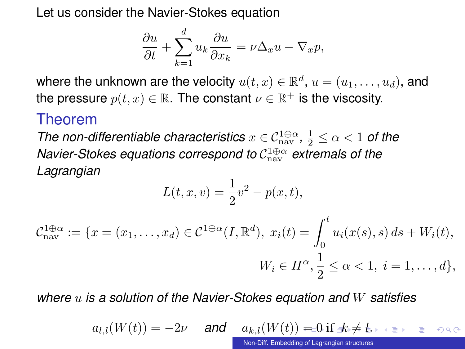Let us consider the Navier-Stokes equation

$$
\frac{\partial u}{\partial t} + \sum_{k=1}^{d} u_k \frac{\partial u}{\partial x_k} = \nu \Delta_x u - \nabla_x p,
$$

where the unknown are the velocity  $u(t,x)\in\mathbb{R}^d,$   $u=(u_1,\ldots,u_d),$  and the pressure  $p(t,x)\in\mathbb{R}.$  The constant  $\nu\in\mathbb{R}^+$  is the viscosity.

#### Theorem

*The non-differentiable characteristics*  $x \in C_{\text{nav}}^{1 \oplus \alpha}, \frac{1}{2} \leq \alpha < 1$  *of the Navier-Stokes equations correspond to* C 1⊕α nav *extremals of the Lagrangian*

$$
L(t, x, v) = \frac{1}{2}v^2 - p(x, t),
$$

$$
\mathcal{C}_{\text{nav}}^{1 \oplus \alpha} := \{ x = (x_1, \dots, x_d) \in \mathcal{C}^{1 \oplus \alpha}(I, \mathbb{R}^d), \ x_i(t) = \int_0^t u_i(x(s), s) \, ds + W_i(t),
$$

$$
W_i \in H^\alpha, \frac{1}{2} \le \alpha < 1, \ i = 1, \dots, d \},
$$

*where* u *is a solution of the Navier-Stokes equation and* W *satisfies*

$$
a_{l,l}(W(t))=-2\nu \quad \text{ and } \quad a_{k,l}(W(t))=\text{0 if } \text{ s.t. } t \text{ is a } \text{ is a } \text{ and } \text{ } a_{l,l}(W(t))=\text{0 if } \text{ s.t. } t \text{ is a } \text{ is a } \text{ and } t \text{ is a } \text{ in } \mathbb{R}.
$$

<span id="page-22-0"></span>[Non-Diff. Embedding of Lagrangian structures](#page-0-0)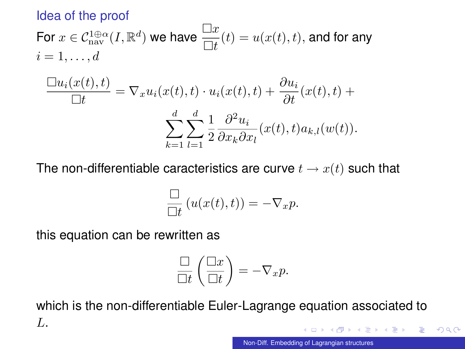#### Idea of the proof

For 
$$
x \in C_{\text{nav}}^{1 \oplus \alpha}(I, \mathbb{R}^d)
$$
 we have  $\frac{\Box x}{\Box t}(t) = u(x(t), t)$ , and for any   
\n $i = 1, ..., d$   
\n
$$
\frac{\Box u_i(x(t), t)}{\Box t} = \nabla_x u_i(x(t), t) \cdot u_i(x(t), t) + \frac{\partial u_i}{\partial t}(x(t), t) + \sum_{k=1}^d \sum_{l=1}^d \frac{\partial^2 u_i}{\partial x_k \partial x_l}(x(t), t) a_{k,l}(w(t)).
$$

The non-differentiable caracteristics are curve  $t \to x(t)$  such that

$$
\frac{\Box}{\Box t} (u(x(t), t)) = -\nabla_x p.
$$

this equation can be rewritten as

<span id="page-23-0"></span>
$$
\frac{\Box}{\Box t} \left( \frac{\Box x}{\Box t} \right) = -\nabla_x p.
$$

which is the non-differentiable Euler-Lagrange equation associated to L. 目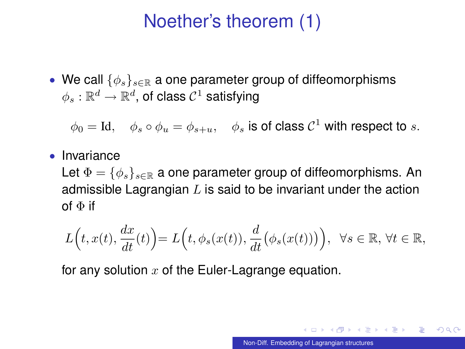## Noether's theorem (1)

• We call  $\{\phi_s\}_{s\in\mathbb{R}}$  a one parameter group of diffeomorphisms  $\phi_s:\mathbb{R}^d\rightarrow\mathbb{R}^d,$  of class  $\mathcal{C}^1$  satisfying

 $\phi_0 = \mathrm{Id}, \quad \phi_s \circ \phi_u = \phi_{s+u}, \quad \phi_s$  is of class  $\mathcal{C}^1$  with respect to  $s.$ 

• Invariance

Let  $\Phi = \{\phi_s\}_{s\in \mathbb{R}}$  a one parameter group of diffeomorphisms. An admissible Lagrangian  $L$  is said to be invariant under the action of  $\Phi$  if

$$
L(t, x(t), \frac{dx}{dt}(t)) = L(t, \phi_s(x(t)), \frac{d}{dt}(\phi_s(x(t)))\Big), \ \forall s \in \mathbb{R}, \forall t \in \mathbb{R},
$$

for any solution  $x$  of the Euler-Lagrange equation.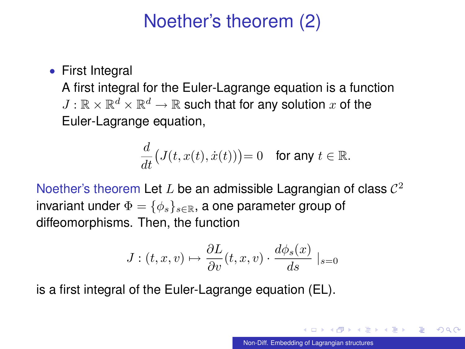# Noether's theorem (2)

#### • First Integral

A first integral for the Euler-Lagrange equation is a function  $J: \mathbb{R} \times \mathbb{R}^d \times \mathbb{R}^d \to \mathbb{R}$  such that for any solution  $x$  of the Euler-Lagrange equation,

$$
\frac{d}{dt}\big(J(t,x(t),\dot{x}(t))\big)=0 \quad \text{for any } t \in \mathbb{R}.
$$

Noether's theorem Let L be an admissible Lagrangian of class  $\mathcal{C}^2$ invariant under  $\Phi = {\phi_s}_{s \in \mathbb{R}}$ , a one parameter group of diffeomorphisms. Then, the function

$$
J: (t, x, v) \mapsto \frac{\partial L}{\partial v}(t, x, v) \cdot \frac{d\phi_s(x)}{ds} \mid_{s=0}
$$

is a first integral of the Euler-Lagrange equation (EL).

つひい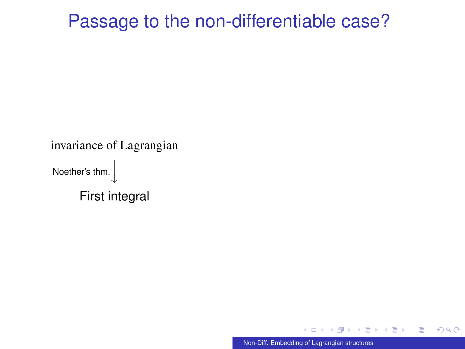### Passage to the non-differentiable case?

invariance of Lagrangian Noether's thm.  $\overline{a}$  $\overline{1}$  $\downarrow$ First integral

[Non-Diff. Embedding of Lagrangian structures](#page-0-0)

つへへ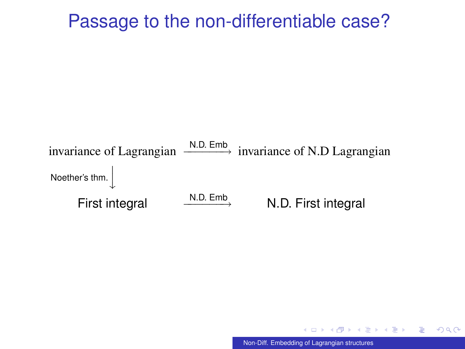#### Passage to the non-differentiable case?



[Non-Diff. Embedding of Lagrangian structures](#page-0-0)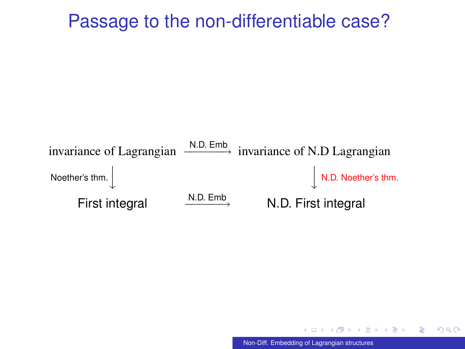#### Passage to the non-differentiable case?



<span id="page-28-0"></span>[Non-Diff. Embedding of Lagrangian structures](#page-0-0)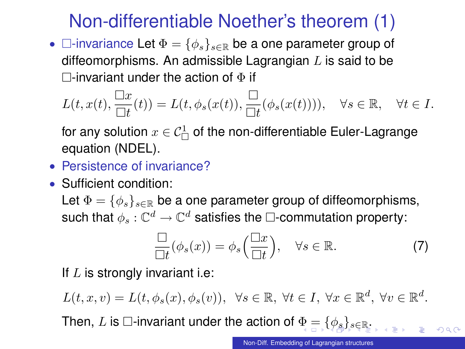# Non-differentiable Noether's theorem (1)

•  $\Box$ -invariance Let  $\Phi = {\phi_s}_{s \in \mathbb{R}}$  be a one parameter group of diffeomorphisms. An admissible Lagrangian  $L$  is said to be  $\Box$ -invariant under the action of  $\Phi$  if

$$
L(t, x(t), \frac{\Box x}{\Box t}(t)) = L(t, \phi_s(x(t)), \frac{\Box}{\Box t}(\phi_s(x(t))))
$$
,  $\forall s \in \mathbb{R}$ ,  $\forall t \in I$ .

for any solution  $x\in\mathcal{C}^1_\Box$  of the non-differentiable Euler-Lagrange equation (NDEL).

- Persistence of invariance?
- Sufficient condition:

Let  $\Phi = \{\phi_s\}_{s\in\mathbb{R}}$  be a one parameter group of diffeomorphisms, such that  $\phi_s: \mathbb{C}^d \to \mathbb{C}^d$  satisfies the  $\Box$ -commutation property:

<span id="page-29-0"></span>
$$
\frac{\Box}{\Box t}(\phi_s(x)) = \phi_s\left(\frac{\Box x}{\Box t}\right), \quad \forall s \in \mathbb{R}.\tag{7}
$$

If  $L$  is strongly invariant i.e:

 $L(t, x, v) = L(t, \phi_s(x), \phi_s(v)), \forall s \in \mathbb{R}, \forall t \in I, \forall x \in \mathbb{R}^d, \forall v \in \mathbb{R}^d.$ 

Then, L i[s](#page-30-0)  $\Box$ -invariant under the action of  $\Phi = {\{\phi_s\}_{s \in \mathbb{R}}}$  $\Phi = {\{\phi_s\}_{s \in \mathbb{R}}}$  $\Phi = {\{\phi_s\}_{s \in \mathbb{R}}}$  $\Phi = {\{\phi_s\}_{s \in \mathbb{R}}}$  $\Phi = {\{\phi_s\}_{s \in \mathbb{R}}}$  $\Phi = {\{\phi_s\}_{s \in \mathbb{R}}}$  $\Phi = {\{\phi_s\}_{s \in \mathbb{R}}}$ [.](#page-38-0)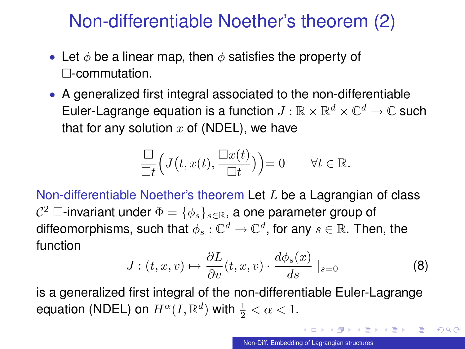# Non-differentiable Noether's theorem (2)

- Let  $\phi$  be a linear map, then  $\phi$  satisfies the property of -commutation.
- A generalized first integral associated to the non-differentiable Euler-Lagrange equation is a function  $J: \mathbb{R} \times \mathbb{R}^d \times \mathbb{C}^d \to \mathbb{C}$  such that for any solution  $x$  of (NDEL), we have

$$
\frac{\Box}{\Box t}\Big(J\big(t,x(t),\frac{\Box x(t)}{\Box t}\big)\Big)=0 \qquad \forall t\in\mathbb{R}.
$$

Non-differentiable Noether's theorem Let L be a Lagrangian of class  $\mathcal{C}^2 \ \Box$ -invariant under  $\Phi = \{\phi_s\}_{s \in \mathbb{R}}$ , a one parameter group of diffeomorphisms, such that  $\phi_s: \mathbb{C}^d \to \mathbb{C}^d,$  for any  $s \in \mathbb{R}.$  Then, the function

<span id="page-30-0"></span>
$$
J: (t, x, v) \mapsto \frac{\partial L}{\partial v}(t, x, v) \cdot \frac{d\phi_s(x)}{ds}|_{s=0}
$$
 (8)

is a generalized first integral of the non-differentiable Euler-Lagrange equation (NDEL) on  $H^\alpha(I,\mathbb{R}^d)$  with  $\frac{1}{2}<\alpha< 1.$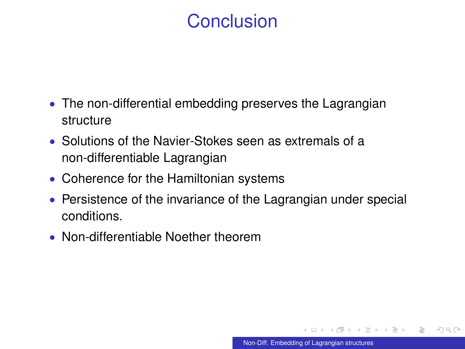# **Conclusion**

- The non-differential embedding preserves the Lagrangian structure
- Solutions of the Navier-Stokes seen as extremals of a non-differentiable Lagrangian
- Coherence for the Hamiltonian systems
- Persistence of the invariance of the Lagrangian under special conditions.
- Non-differentiable Noether theorem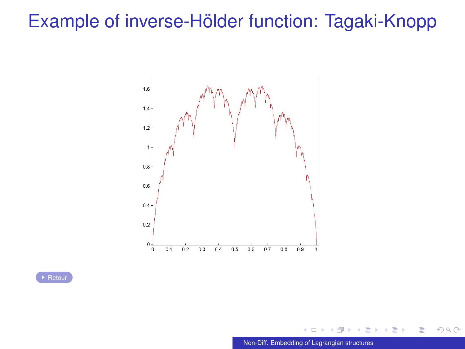### <span id="page-32-0"></span>Example of inverse-Hölder function: Tagaki-Knopp



▶ [Retour](#page-5-0)

[Non-Diff. Embedding of Lagrangian structures](#page-0-0)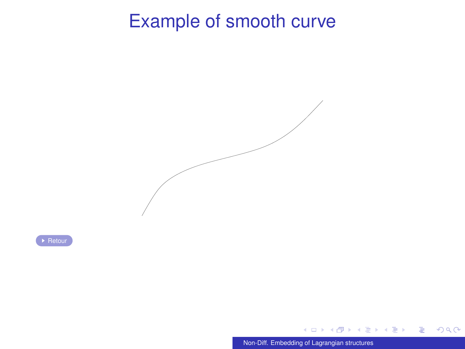### Example of smooth curve

<span id="page-33-0"></span>

[Retour](#page-1-0)

 $\leftarrow$ [Non-Diff. Embedding of Lagrangian structures](#page-0-0)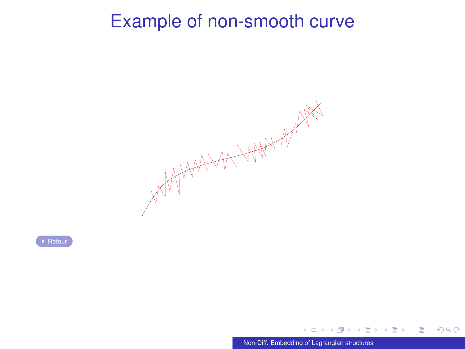### Example of non-smooth curve

<span id="page-34-0"></span>

[Non-Diff. Embedding of Lagrangian structures](#page-0-0)

**◆ ロ ▶ → 何** 

D.

化重新润滑

 $299$ 

ŧ

 $\rightarrow$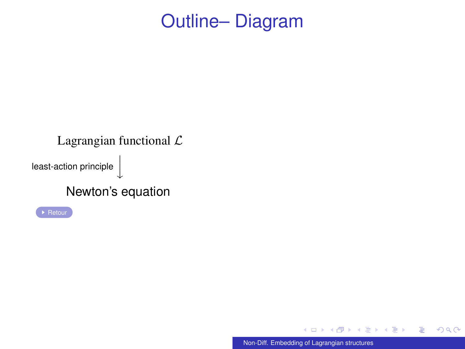#### <span id="page-35-0"></span>Lagrangian functional  $\mathcal L$ least-action principle  $\Big\vert$  $\downarrow$ Newton's equation

 $\leftarrow$ [Non-Diff. Embedding of Lagrangian structures](#page-0-0)

K 御 ⊁ K 君 ⊁ K 君 ⊁

 $299$ 

目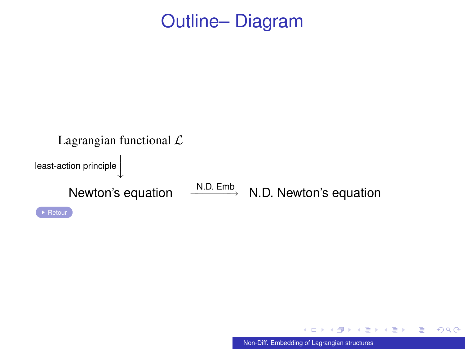



∍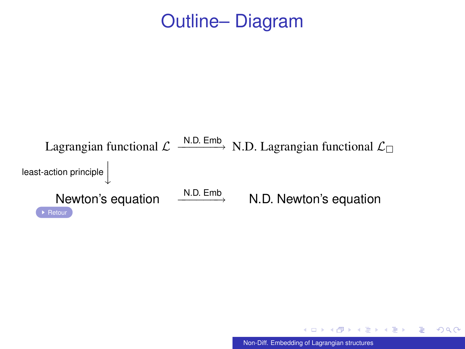